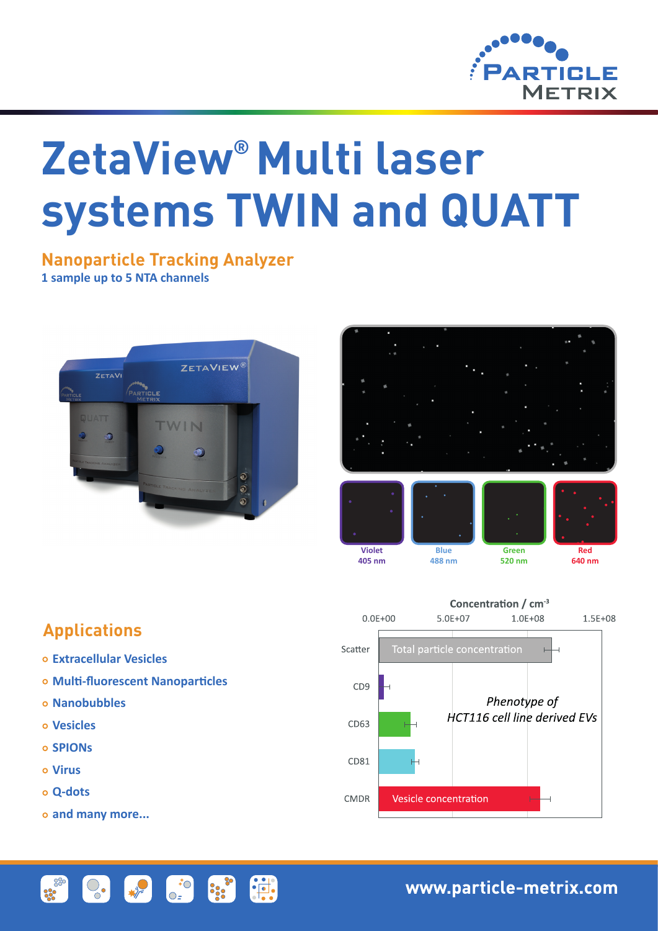

# **ZetaView® Multi laser systems TWIN and QUATT**

### **Nanoparticle Tracking Analyzer 1 sample up to 5 NTA channels**







# **Applications**

- **Extracellular Vesicles**
- **Multi-fluorescent Nanoparticles**

 $\left| \downarrow \right|$ 

 $\begin{pmatrix} 1 & 0 \\ 0 & 0 \end{pmatrix}$ 

the set

- **Nanobubbles**
- **Vesicles**
- **SPIONs**
- **Virus**
- **Q-dots**
- **and many more...**

 $\heartsuit_{\bullet}$